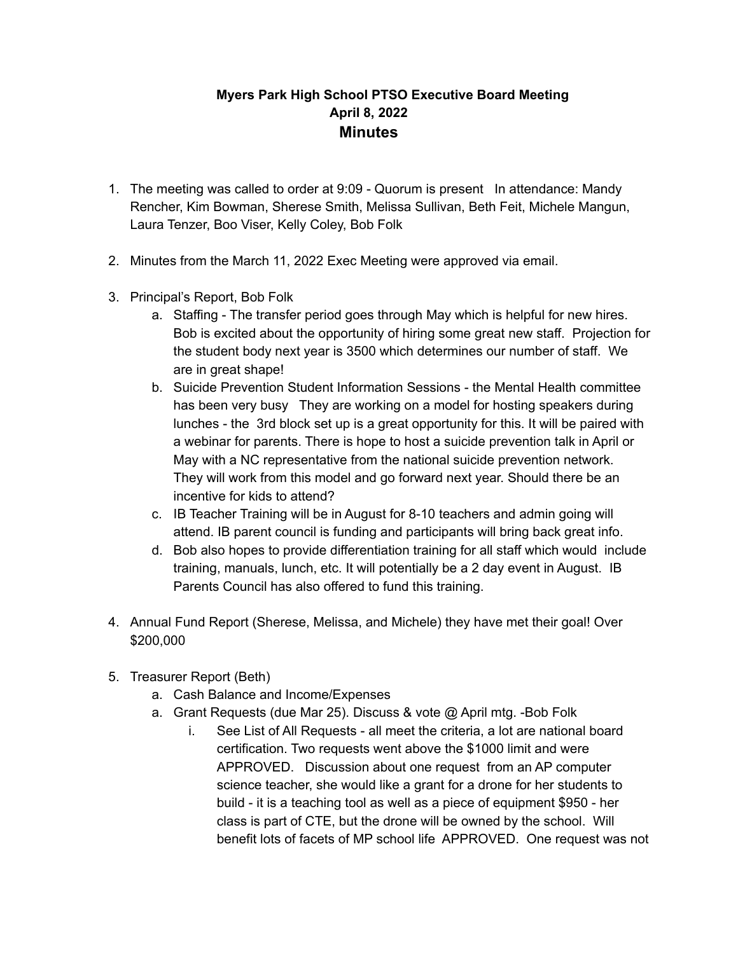## **Myers Park High School PTSO Executive Board Meeting April 8, 2022 Minutes**

- 1. The meeting was called to order at 9:09 Quorum is present In attendance: Mandy Rencher, Kim Bowman, Sherese Smith, Melissa Sullivan, Beth Feit, Michele Mangun, Laura Tenzer, Boo Viser, Kelly Coley, Bob Folk
- 2. Minutes from the March 11, 2022 Exec Meeting were approved via email.
- 3. Principal's Report, Bob Folk
	- a. Staffing The transfer period goes through May which is helpful for new hires. Bob is excited about the opportunity of hiring some great new staff. Projection for the student body next year is 3500 which determines our number of staff. We are in great shape!
	- b. Suicide Prevention Student Information Sessions the Mental Health committee has been very busy They are working on a model for hosting speakers during lunches - the 3rd block set up is a great opportunity for this. It will be paired with a webinar for parents. There is hope to host a suicide prevention talk in April or May with a NC representative from the national suicide prevention network. They will work from this model and go forward next year. Should there be an incentive for kids to attend?
	- c. IB Teacher Training will be in August for 8-10 teachers and admin going will attend. IB parent council is funding and participants will bring back great info.
	- d. Bob also hopes to provide differentiation training for all staff which would include training, manuals, lunch, etc. It will potentially be a 2 day event in August. IB Parents Council has also offered to fund this training.
- 4. Annual Fund Report (Sherese, Melissa, and Michele) they have met their goal! Over \$200,000
- 5. Treasurer Report (Beth)
	- a. Cash Balance and Income/Expenses
	- a. Grant Requests (due Mar 25). Discuss & vote @ April mtg. -Bob Folk
		- i. See List of All Requests all meet the criteria, a lot are national board certification. Two requests went above the \$1000 limit and were APPROVED. Discussion about one request from an AP computer science teacher, she would like a grant for a drone for her students to build - it is a teaching tool as well as a piece of equipment \$950 - her class is part of CTE, but the drone will be owned by the school. Will benefit lots of facets of MP school life APPROVED. One request was not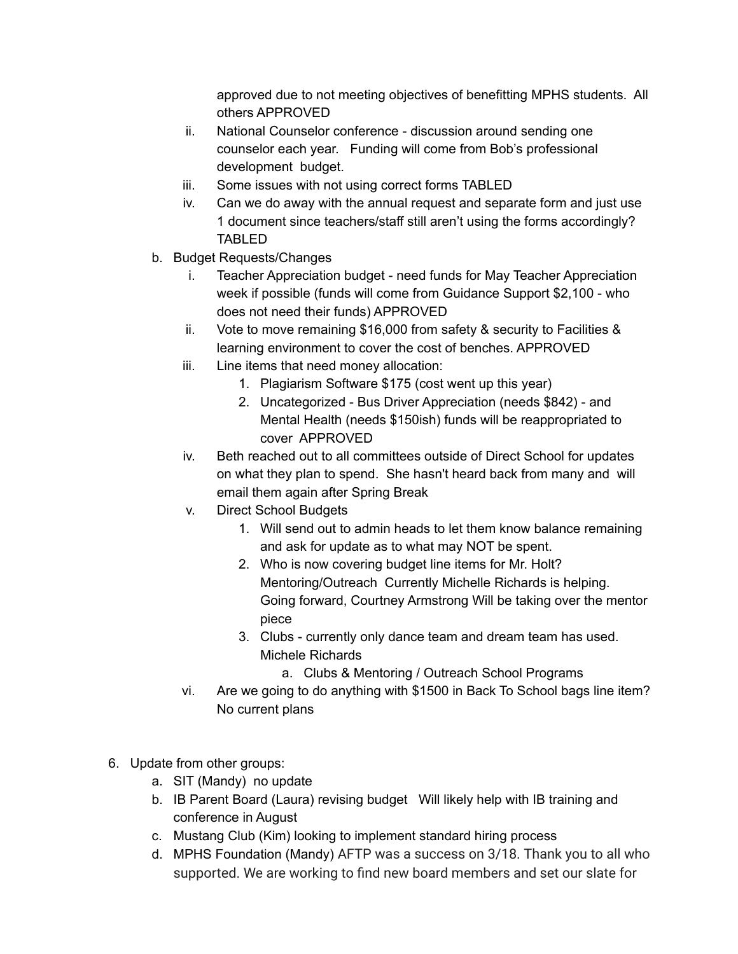approved due to not meeting objectives of benefitting MPHS students. All others APPROVED

- ii. National Counselor conference discussion around sending one counselor each year. Funding will come from Bob's professional development budget.
- iii. Some issues with not using correct forms TABLED
- iv. Can we do away with the annual request and separate form and just use 1 document since teachers/staff still aren't using the forms accordingly? TABLED
- b. Budget Requests/Changes
	- i. Teacher Appreciation budget need funds for May Teacher Appreciation week if possible (funds will come from Guidance Support \$2,100 - who does not need their funds) APPROVED
	- ii. Vote to move remaining \$16,000 from safety & security to Facilities & learning environment to cover the cost of benches. APPROVED
	- iii. Line items that need money allocation:
		- 1. Plagiarism Software \$175 (cost went up this year)
		- 2. Uncategorized Bus Driver Appreciation (needs \$842) and Mental Health (needs \$150ish) funds will be reappropriated to cover APPROVED
	- iv. Beth reached out to all committees outside of Direct School for updates on what they plan to spend. She hasn't heard back from many and will email them again after Spring Break
	- v. Direct School Budgets
		- 1. Will send out to admin heads to let them know balance remaining and ask for update as to what may NOT be spent.
		- 2. Who is now covering budget line items for Mr. Holt? Mentoring/Outreach Currently Michelle Richards is helping. Going forward, Courtney Armstrong Will be taking over the mentor piece
		- 3. Clubs currently only dance team and dream team has used. Michele Richards
			- a. Clubs & Mentoring / Outreach School Programs
	- vi. Are we going to do anything with \$1500 in Back To School bags line item? No current plans
- 6. Update from other groups:
	- a. SIT (Mandy) no update
	- b. IB Parent Board (Laura) revising budget Will likely help with IB training and conference in August
	- c. Mustang Club (Kim) looking to implement standard hiring process
	- d. MPHS Foundation (Mandy) AFTP was a success on 3/18. Thank you to all who supported. We are working to find new board members and set our slate for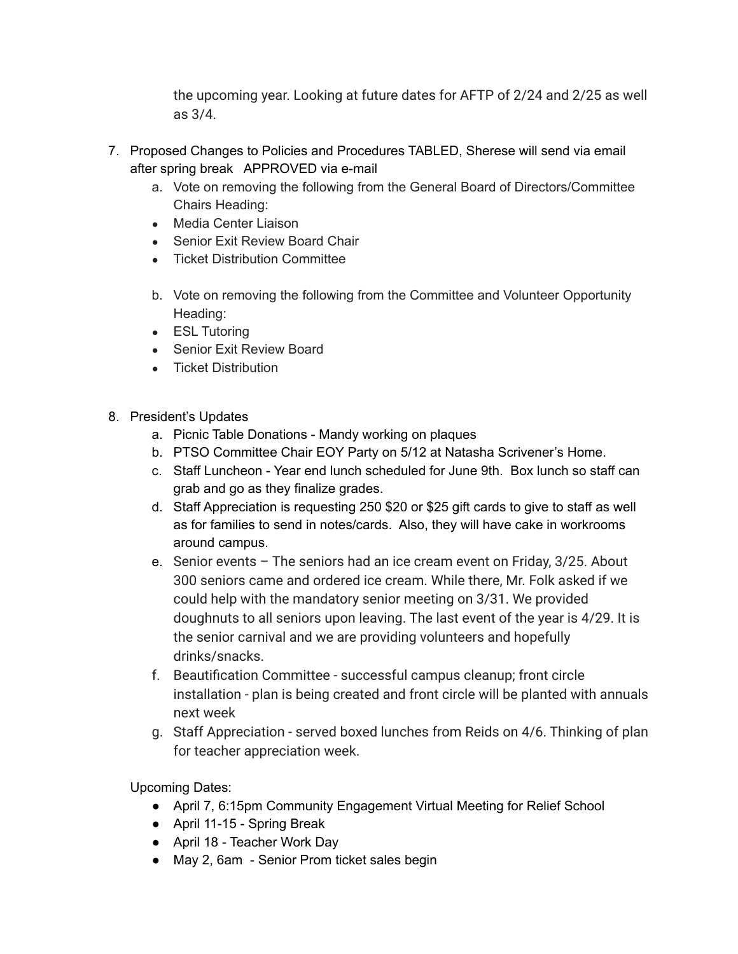the upcoming year. Looking at future dates for AFTP of 2/24 and 2/25 as well as 3/4.

- 7. Proposed Changes to Policies and Procedures TABLED, Sherese will send via email after spring break APPROVED via e-mail
	- a. Vote on removing the following from the General Board of Directors/Committee Chairs Heading:
	- Media Center Liaison
	- Senior Exit Review Board Chair
	- Ticket Distribution Committee
	- b. Vote on removing the following from the Committee and Volunteer Opportunity Heading:
	- ESL Tutoring
	- Senior Exit Review Board
	- Ticket Distribution
- 8. President's Updates
	- a. Picnic Table Donations Mandy working on plaques
	- b. PTSO Committee Chair EOY Party on 5/12 at Natasha Scrivener's Home.
	- c. Staff Luncheon Year end lunch scheduled for June 9th. Box lunch so staff can grab and go as they finalize grades.
	- d. Staff Appreciation is requesting 250 \$20 or \$25 gift cards to give to staff as well as for families to send in notes/cards. Also, they will have cake in workrooms around campus.
	- e. Senior events The seniors had an ice cream event on Friday, 3/25. About 300 seniors came and ordered ice cream. While there, Mr. Folk asked if we could help with the mandatory senior meeting on 3/31. We provided doughnuts to all seniors upon leaving. The last event of the year is 4/29. It is the senior carnival and we are providing volunteers and hopefully drinks/snacks.
	- f. Beautification Committee successful campus cleanup; front circle installation - plan is being created and front circle will be planted with annuals next week
	- g. Staff Appreciation served boxed lunches from Reids on 4/6. Thinking of plan for teacher appreciation week.

Upcoming Dates:

- April 7, 6:15pm Community Engagement Virtual Meeting for Relief School
- April 11-15 Spring Break
- April 18 Teacher Work Day
- May 2, 6am Senior Prom ticket sales begin